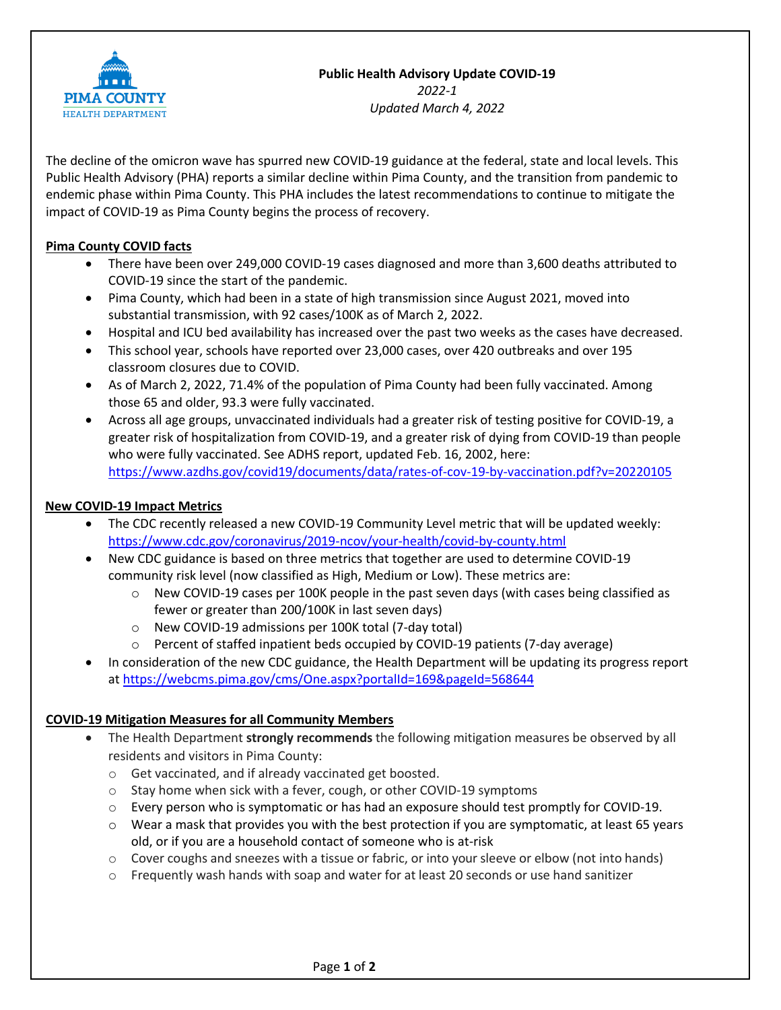

# **Public Health Advisory Update COVID-19**

*2022-1 Updated March 4, 2022*

The decline of the omicron wave has spurred new COVID-19 guidance at the federal, state and local levels. This Public Health Advisory (PHA) reports a similar decline within Pima County, and the transition from pandemic to endemic phase within Pima County. This PHA includes the latest recommendations to continue to mitigate the impact of COVID-19 as Pima County begins the process of recovery.

## **Pima County COVID facts**

- There have been over 249,000 COVID-19 cases diagnosed and more than 3,600 deaths attributed to COVID-19 since the start of the pandemic.
- Pima County, which had been in a state of high transmission since August 2021, moved into substantial transmission, with 92 cases/100K as of March 2, 2022.
- Hospital and ICU bed availability has increased over the past two weeks as the cases have decreased.
- This school year, schools have reported over 23,000 cases, over 420 outbreaks and over 195 classroom closures due to COVID.
- As of March 2, 2022, 71.4% of the population of Pima County had been fully vaccinated. Among those 65 and older, 93.3 were fully vaccinated.
- Across all age groups, unvaccinated individuals had a greater risk of testing positive for COVID-19, a greater risk of hospitalization from COVID-19, and a greater risk of dying from COVID-19 than people who were fully vaccinated. See ADHS report, updated Feb. 16, 2002, here: https://www.azdhs.gov/covid19/documents/data/rates-of-cov-19-by-vaccination.pdf?v=20220105

## **New COVID-19 Impact Metrics**

- The CDC recently released a new COVID-19 Community Level metric that will be updated weekly: https://www.cdc.gov/coronavirus/2019-ncov/your-health/covid-by-county.html
- New CDC guidance is based on three metrics that together are used to determine COVID-19 community risk level (now classified as High, Medium or Low). These metrics are:
	- $\circ$  New COVID-19 cases per 100K people in the past seven days (with cases being classified as fewer or greater than 200/100K in last seven days)
	- o New COVID-19 admissions per 100K total (7-day total)
	- o Percent of staffed inpatient beds occupied by COVID-19 patients (7-day average)
- In consideration of the new CDC guidance, the Health Department will be updating its progress report at https://webcms.pima.gov/cms/One.aspx?portalId=169&pageId=568644

## **COVID-19 Mitigation Measures for all Community Members**

- The Health Department **strongly recommends** the following mitigation measures be observed by all residents and visitors in Pima County:
	- o Get vaccinated, and if already vaccinated get boosted.
	- o Stay home when sick with a fever, cough, or other COVID-19 symptoms
	- $\circ$  Every person who is symptomatic or has had an exposure should test promptly for COVID-19.
	- $\circ$  Wear a mask that provides you with the best protection if you are symptomatic, at least 65 years old, or if you are a household contact of someone who is at-risk
	- $\circ$  Cover coughs and sneezes with a tissue or fabric, or into your sleeve or elbow (not into hands)
	- $\circ$  Frequently wash hands with soap and water for at least 20 seconds or use hand sanitizer